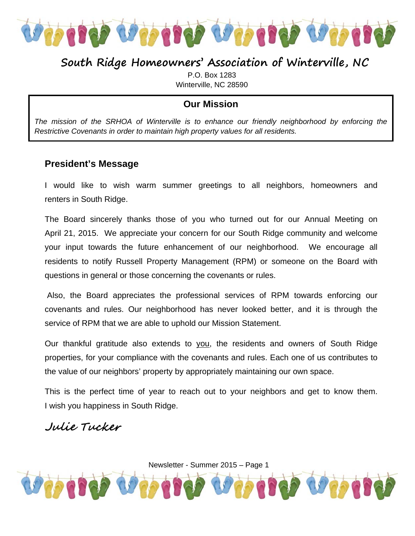

## **South Ridge Homeowners' Association of Winterville, NC**

P.O. Box 1283 Winterville, NC 28590

### **Our Mission**

*The mission of the SRHOA of Winterville is to enhance our friendly neighborhood by enforcing the Restrictive Covenants in order to maintain high property values for all residents.* 

#### **President's Message**

I would like to wish warm summer greetings to all neighbors, homeowners and renters in South Ridge.

The Board sincerely thanks those of you who turned out for our Annual Meeting on April 21, 2015. We appreciate your concern for our South Ridge community and welcome your input towards the future enhancement of our neighborhood. We encourage all residents to notify Russell Property Management (RPM) or someone on the Board with questions in general or those concerning the covenants or rules.

 Also, the Board appreciates the professional services of RPM towards enforcing our covenants and rules. Our neighborhood has never looked better, and it is through the service of RPM that we are able to uphold our Mission Statement.

Our thankful gratitude also extends to you, the residents and owners of South Ridge properties, for your compliance with the covenants and rules. Each one of us contributes to the value of our neighbors' property by appropriately maintaining our own space.

This is the perfect time of year to reach out to your neighbors and get to know them. I wish you happiness in South Ridge.

### Julie Tucker

Newsletter - Summer 2015 – Page 1